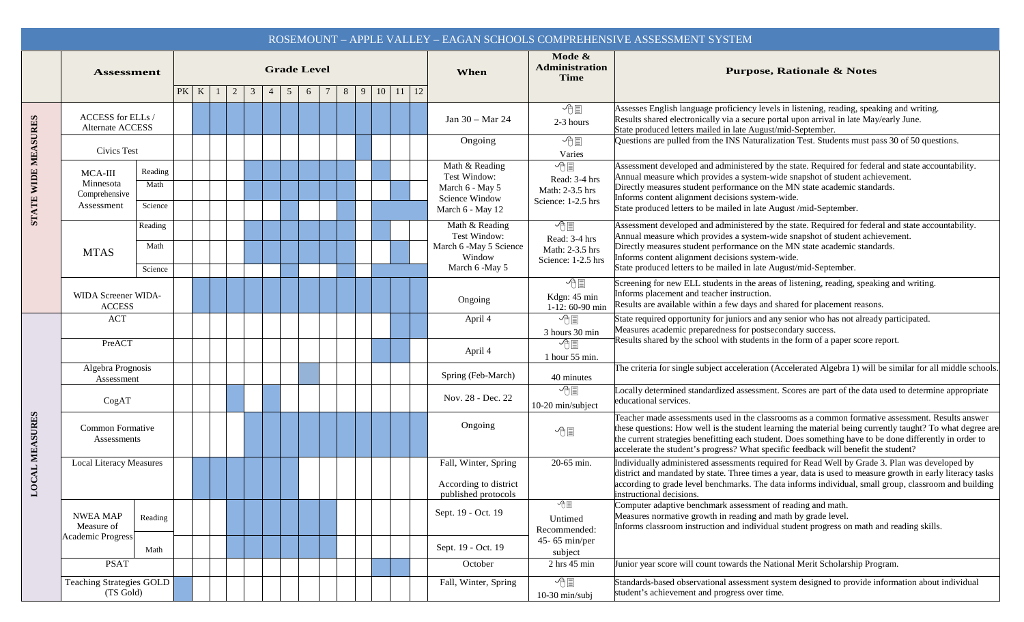|                     |                                                           |                            |      |   |   |                      |   |   |                      |                    |                                                                                         |                                                                                                                                                                                                                                                                                                                                                                                                                 | ROSEMOUNT - APPLE VALLEY - EAGAN SCHOOLS COMPREHENSIVE ASSESSMENT SYSTEM                                                                                                                                                                                                                                                                                                                  |
|---------------------|-----------------------------------------------------------|----------------------------|------|---|---|----------------------|---|---|----------------------|--------------------|-----------------------------------------------------------------------------------------|-----------------------------------------------------------------------------------------------------------------------------------------------------------------------------------------------------------------------------------------------------------------------------------------------------------------------------------------------------------------------------------------------------------------|-------------------------------------------------------------------------------------------------------------------------------------------------------------------------------------------------------------------------------------------------------------------------------------------------------------------------------------------------------------------------------------------|
|                     | <b>Assessment</b>                                         |                            |      |   |   | <b>Grade Level</b>   |   |   |                      |                    | When                                                                                    | Mode &<br>Administration<br><b>Time</b>                                                                                                                                                                                                                                                                                                                                                                         | <b>Purpose, Rationale &amp; Notes</b>                                                                                                                                                                                                                                                                                                                                                     |
|                     |                                                           |                            | PK K | 2 | 3 | $\overline{4}$<br>-5 | 6 | 8 | 10 <sup>1</sup><br>9 | $11 \mid 12$       |                                                                                         |                                                                                                                                                                                                                                                                                                                                                                                                                 |                                                                                                                                                                                                                                                                                                                                                                                           |
| STATE WIDE MEASURES | ACCESS for ELLs /<br>Alternate ACCESS                     |                            |      |   |   |                      |   |   |                      | Jan 30 – Mar 24    | − 他圓<br>2-3 hours                                                                       | Assesses English language proficiency levels in listening, reading, speaking and writing.<br>Results shared electronically via a secure portal upon arrival in late May/early June.<br>State produced letters mailed in late August/mid-September.                                                                                                                                                              |                                                                                                                                                                                                                                                                                                                                                                                           |
|                     | <b>Civics Test</b>                                        |                            |      |   |   |                      |   |   |                      | Ongoing            | − ① ■<br>Varies                                                                         | Questions are pulled from the INS Naturalization Test. Students must pass 30 of 50 questions.                                                                                                                                                                                                                                                                                                                   |                                                                                                                                                                                                                                                                                                                                                                                           |
|                     | MCA-III<br>Minnesota<br>Comprehensive<br>Assessment       | Reading<br>Math<br>Science |      |   |   |                      |   |   |                      |                    | Math & Reading<br>Test Window:<br>March 6 - May 5<br>Science Window<br>March 6 - May 12 | 个国<br>Read: 3-4 hrs<br>Math: 2-3.5 hrs<br>Science: 1-2.5 hrs                                                                                                                                                                                                                                                                                                                                                    | Assessment developed and administered by the state. Required for federal and state accountability.<br>Annual measure which provides a system-wide snapshot of student achievement.<br>Directly measures student performance on the MN state academic standards.<br>Informs content alignment decisions system-wide.<br>State produced letters to be mailed in late August /mid-September. |
|                     | <b>MTAS</b>                                               | Reading<br>Math<br>Science |      |   |   |                      |   |   |                      |                    | Math & Reading<br>Test Window:<br>March 6 -May 5 Science<br>Window<br>March 6 -May 5    | − 他圓<br>Read: 3-4 hrs<br>Math: 2-3.5 hrs<br>Science: 1-2.5 hrs                                                                                                                                                                                                                                                                                                                                                  | Assessment developed and administered by the state. Required for federal and state accountability.<br>Annual measure which provides a system-wide snapshot of student achievement.<br>Directly measures student performance on the MN state academic standards.<br>Informs content alignment decisions system-wide.<br>State produced letters to be mailed in late August/mid-September.  |
|                     | WIDA Screener WIDA-<br><b>ACCESS</b>                      |                            |      |   |   |                      |   |   |                      |                    | Ongoing                                                                                 | ←<br>Kdgn: 45 min<br>$1-12:60-90$ min                                                                                                                                                                                                                                                                                                                                                                           | Screening for new ELL students in the areas of listening, reading, speaking and writing.<br>Informs placement and teacher instruction.<br>Results are available within a few days and shared for placement reasons.                                                                                                                                                                       |
| LOCAL MEASURES      | ACT                                                       |                            |      |   |   |                      |   |   |                      |                    | April 4                                                                                 | 小目<br>3 hours 30 min                                                                                                                                                                                                                                                                                                                                                                                            | State required opportunity for juniors and any senior who has not already participated.<br>Measures academic preparedness for postsecondary success.<br>Results shared by the school with students in the form of a paper score report.                                                                                                                                                   |
|                     | PreACT                                                    |                            |      |   |   |                      |   |   |                      | April 4            | − 他圓<br>1 hour 55 min.                                                                  |                                                                                                                                                                                                                                                                                                                                                                                                                 |                                                                                                                                                                                                                                                                                                                                                                                           |
|                     | Algebra Prognosis<br>Assessment                           |                            |      |   |   |                      |   |   |                      | Spring (Feb-March) | 40 minutes                                                                              | The criteria for single subject acceleration (Accelerated Algebra 1) will be similar for all middle schools.                                                                                                                                                                                                                                                                                                    |                                                                                                                                                                                                                                                                                                                                                                                           |
|                     | CogAT                                                     |                            |      |   |   |                      |   |   |                      | Nov. 28 - Dec. 22  | √門<br>10-20 min/subject                                                                 | ocally determined standardized assessment. Scores are part of the data used to determine appropriate<br>educational services.                                                                                                                                                                                                                                                                                   |                                                                                                                                                                                                                                                                                                                                                                                           |
|                     | Common Formative<br>Assessments                           |                            |      |   |   |                      |   |   |                      | Ongoing            | 小目                                                                                      | Teacher made assessments used in the classrooms as a common formative assessment. Results answer<br>these questions: How well is the student learning the material being currently taught? To what degree are<br>the current strategies benefitting each student. Does something have to be done differently in order to<br>accelerate the student's progress? What specific feedback will benefit the student? |                                                                                                                                                                                                                                                                                                                                                                                           |
|                     | <b>Local Literacy Measures</b>                            |                            |      |   |   |                      |   |   |                      |                    | Fall, Winter, Spring<br>According to district<br>published protocols                    | 20-65 min.                                                                                                                                                                                                                                                                                                                                                                                                      | Individually administered assessments required for Read Well by Grade 3. Plan was developed by<br>district and mandated by state. Three times a year, data is used to measure growth in early literacy tasks<br>according to grade level benchmarks. The data informs individual, small group, classroom and building<br>instructional decisions.                                         |
|                     | <b>NWEA MAP</b><br>Measure of<br><b>Academic Progress</b> | Reading                    |      |   |   |                      |   |   |                      |                    | Sept. 19 - Oct. 19                                                                      | 小型<br>Untimed<br>Recommended:                                                                                                                                                                                                                                                                                                                                                                                   | Computer adaptive benchmark assessment of reading and math.<br>Measures normative growth in reading and math by grade level.<br>Informs classroom instruction and individual student progress on math and reading skills.                                                                                                                                                                 |
|                     |                                                           | Math                       |      |   |   |                      |   |   |                      |                    | Sept. 19 - Oct. 19                                                                      | 45-65 min/per<br>subject                                                                                                                                                                                                                                                                                                                                                                                        |                                                                                                                                                                                                                                                                                                                                                                                           |
|                     | <b>PSAT</b>                                               |                            |      |   |   |                      |   |   |                      |                    | October                                                                                 | 2 hrs 45 min                                                                                                                                                                                                                                                                                                                                                                                                    | Junior year score will count towards the National Merit Scholarship Program.                                                                                                                                                                                                                                                                                                              |
|                     | <b>Teaching Strategies GOLD</b><br>(TS Gold)              |                            |      |   |   |                      |   |   |                      |                    | Fall, Winter, Spring                                                                    | − 他圓<br>$10-30$ min/subj                                                                                                                                                                                                                                                                                                                                                                                        | Standards-based observational assessment system designed to provide information about individual<br>student's achievement and progress over time.                                                                                                                                                                                                                                         |